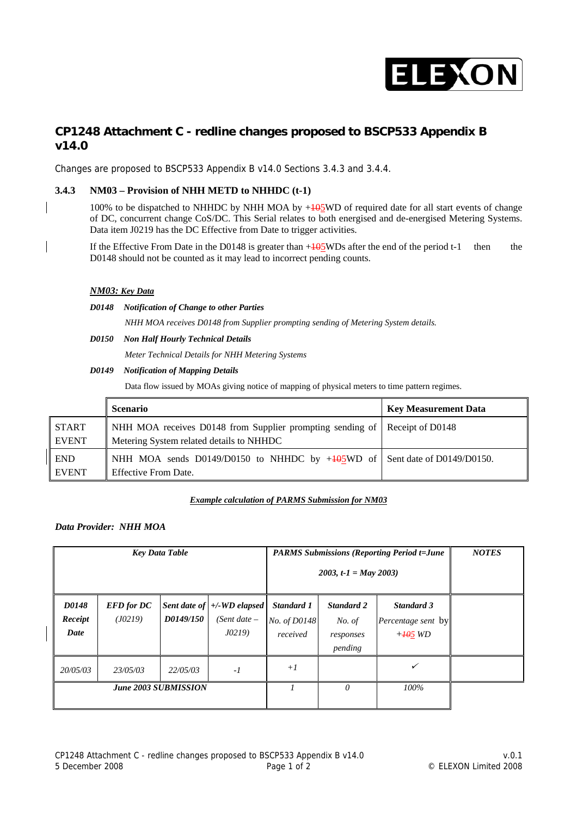

# **CP1248 Attachment C - redline changes proposed to BSCP533 Appendix B v14.0**

Changes are proposed to BSCP533 Appendix B v14.0 Sections 3.4.3 and 3.4.4.

# **3.4.3 NM03 – Provision of NHH METD to NHHDC (t-1)**

100% to be dispatched to NHHDC by NHH MOA by  $+105$ WD of required date for all start events of change of DC, concurrent change CoS/DC. This Serial relates to both energised and de-energised Metering Systems. Data item J0219 has the DC Effective from Date to trigger activities.

If the Effective From Date in the D0148 is greater than  $+105$ WDs after the end of the period t-1 then the D0148 should not be counted as it may lead to incorrect pending counts.

## *NM03: Key Data*

*D0148 Notification of Change to other Parties* 

 *NHH MOA receives D0148 from Supplier prompting sending of Metering System details.* 

- *D0150 Non Half Hourly Technical Details* 
	- *Meter Technical Details for NHH Metering Systems*

#### *D0149 Notification of Mapping Details*

Data flow issued by MOAs giving notice of mapping of physical meters to time pattern regimes.

|                              | <b>Scenario</b>                                                                                                        | <b>Key Measurement Data</b> |
|------------------------------|------------------------------------------------------------------------------------------------------------------------|-----------------------------|
| <b>START</b><br><b>EVENT</b> | NHH MOA receives D0148 from Supplier prompting sending of Receipt of D0148<br>Metering System related details to NHHDC |                             |
| <b>END</b><br><b>EVENT</b>   | NHH MOA sends D0149/D0150 to NHHDC by $+495WD$ of Sent date of D0149/D0150.<br><b>Effective From Date.</b>             |                             |

#### *Example calculation of PARMS Submission for NM03*

# *Data Provider: NHH MOA*

| <b>Key Data Table</b>       |                              |           | <b>PARMS Submissions (Reporting Period t=June</b><br>2003, t-1 = May 2003) | <b>NOTES</b>                           |                                                     |                                                             |  |
|-----------------------------|------------------------------|-----------|----------------------------------------------------------------------------|----------------------------------------|-----------------------------------------------------|-------------------------------------------------------------|--|
| D0148<br>Receipt<br>Date    | <b>EFD</b> for DC<br>(J0219) | D0149/150 | Sent date of $\left  + \right $ -WD elapsed<br>(Sent date –<br>J02I9       | Standard 1<br>No. of D0148<br>received | <b>Standard 2</b><br>No. of<br>responses<br>pending | <b>Standard 3</b><br><i>Percentage sent</i> by<br>$+405$ WD |  |
| 20/05/03                    | 23/05/03                     | 22/05/03  | $-l$                                                                       | $+I$                                   |                                                     | $\checkmark$                                                |  |
| <b>June 2003 SUBMISSION</b> |                              |           |                                                                            | $\theta$                               | 100%                                                |                                                             |  |